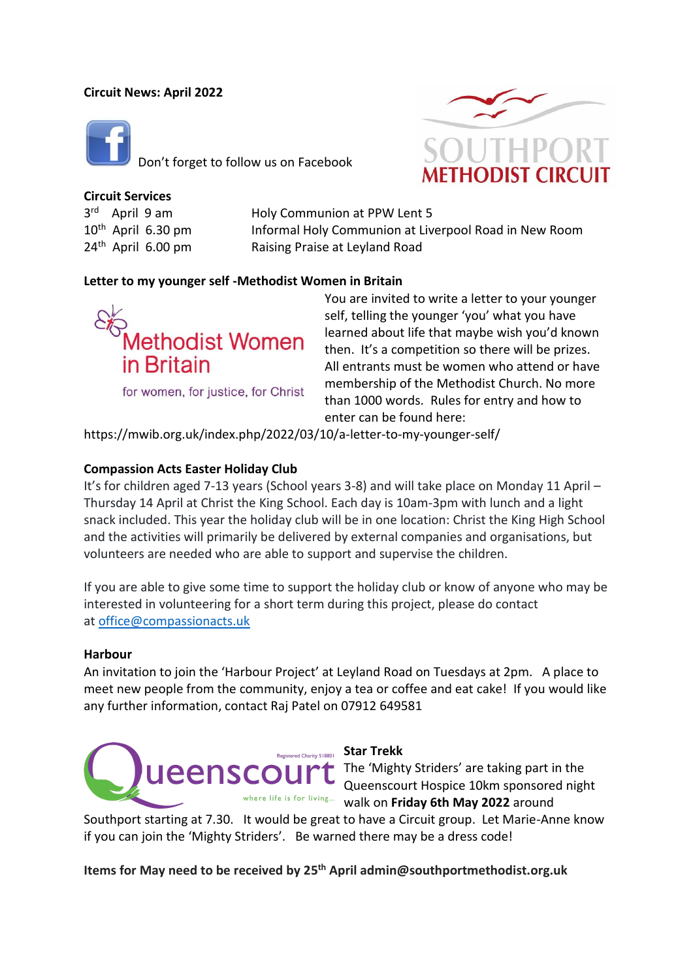## **Circuit News: April 2022**



Don't forget to follow us on Facebook



**Circuit Services** 3 rd

 $10<sup>th</sup>$  April 6.30 pm  $24<sup>th</sup>$  April 6.00 pm

Holy Communion at PPW Lent 5 Informal Holy Communion at Liverpool Road in New Room Raising Praise at Leyland Road

## **Letter to my younger self -Methodist Women in Britain**



self, telling the younger 'you' what you have learned about life that maybe wish you'd known then. It's a competition so there will be prizes. All entrants must be women who attend or have membership of the Methodist Church. No more than 1000 words. Rules for entry and how to enter can be found here:

You are invited to write a letter to your younger

https://mwib.org.uk/index.php/2022/03/10/a-letter-to-my-younger-self/

### **Compassion Acts Easter Holiday Club**

It's for children aged 7-13 years (School years 3-8) and will take place on Monday 11 April – Thursday 14 April at Christ the King School. Each day is 10am-3pm with lunch and a light snack included. This year the holiday club will be in one location: Christ the King High School and the activities will primarily be delivered by external companies and organisations, but volunteers are needed who are able to support and supervise the children.

If you are able to give some time to support the holiday club or know of anyone who may be interested in volunteering for a short term during this project, please do contact at [office@compassionacts.uk](mailto:office@compassionacts.uk)

#### **Harbour**

An invitation to join the 'Harbour Project' at Leyland Road on Tuesdays at 2pm. A place to meet new people from the community, enjoy a tea or coffee and eat cake! If you would like any further information, contact Raj Patel on 07912 649581



The 'Mighty Striders' are taking part in the Queenscourt Hospice 10km sponsored night where life is for living... walk on Friday 6th May 2022 around

Southport starting at 7.30. It would be great to have a Circuit group. Let Marie-Anne know if you can join the 'Mighty Striders'. Be warned there may be a dress code!

**Items for May need to be received by 25 th April admin@southportmethodist.org.uk**